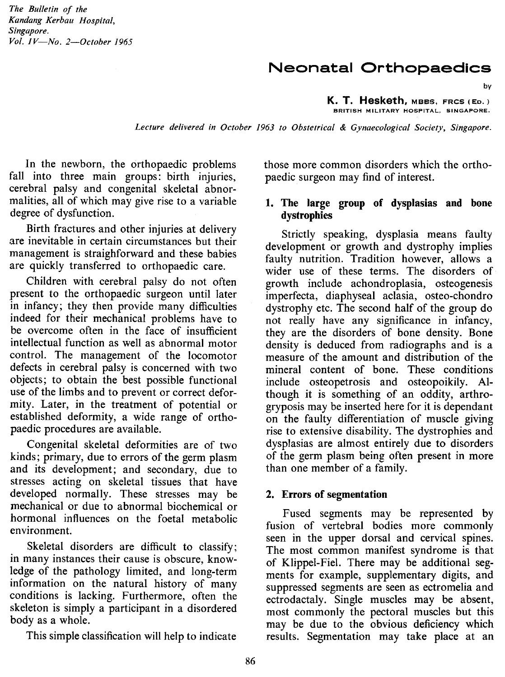*The Bulletin of the Kandang Kerbau Hospital, Singapore. Vol. IV-No. 2-0ctober 1965*

# **Neonatal Orthopaedics**

by

**K. T. Hesketh,** MBSS, FRCS (Eo.) **BRITISH MILITARY HOSPITAL, SINGAPORE.**

Lecture delivered in October 1963 to Obstetrical & Gynaecological Society, Singapore.

In the newborn, the orthopaedic problems fall into three main groups: birth injuries, cerebral palsy and congenital skeletal abnormalities, all of which may give rise to a variable degree of dysfunction.

Birth fractures and other injuries at delivery are inevitable in certain circumstances but their management is straighforward and these babies are quickly transferred to orthopaedic care.

Children with cerebral palsy do not often present to the orthopaedic surgeon until later in infancy; they then provide many difficulties indeed for their mechanical problems have to be overcome often in the face of insufficient intellectual function as well as abnormal motor control. The management of the locomotor defects in cerebral palsy is concerned with two objects; to obtain the best possible functional use of the limbs and to prevent or correct deformity. Later, in the treatment of potential or established deformity, a wide range of orthopaedic procedures are available.

Congenital skeletal deformities are of two kinds; primary, due to errors of the germ plasm and its development; and secondary, due to stresses acting on skeletal tissues that have developed normally. These stresses may be mechanical or due to abnormal biochemical or hormonal influences on the foetal metabolic environment.

Skeletal disorders are difficult to classify; in many instances their cause is obscure, knowledge of the pathology limited, and long-term information on the natural history of many conditions is lacking. Furthermore, often the skeleton is simply a participant in a disordered body as a whole.

This simple classification will help to indicate

those more common disorders which the orthopaedic surgeon may find of interest.

#### **1. The large group of dysplasias and bone dystrophies**

Strictly speaking, dysplasia means faulty development or growth and dystrophy implies faulty nutrition. Tradition however, allows a wider use of these terms. The disorders of growth include achondroplasia, osteogenesis imperfecta, diaphyseal aclasia, osteo-chondro dystrophy etc. The second half of the group do not really have any significance in infancy, they are the disorders of bone density. Bone density is deduced from radiographs and is a measure of the amount and distribution of the mineral content of bone. These conditions include osteopetrosis and osteopoikily. Although it is something of an oddity, arthrogryposis may be inserted here for it is dependant on the faulty differentiation of muscle giving rise to extensive disability. The dystrophies and dysplasias are almost entirely due to disorders of the germ plasm being often present in more than one member of a family.

#### **2. Errors of segmentation**

Fused segments may be represented by fusion of vertebral bodies more commonly seen in the upper dorsal and cervical spines. The most common manifest syndrome is that of Klippel-Fiel. There may be additional segments for example, supplementary digits, and suppressed segments are seen as ectromelia and ectrodactaly. Single muscles may be absent, most commonly the pectoral muscles but this may be due to the obvious deficiency which results. Segmentation may take place at an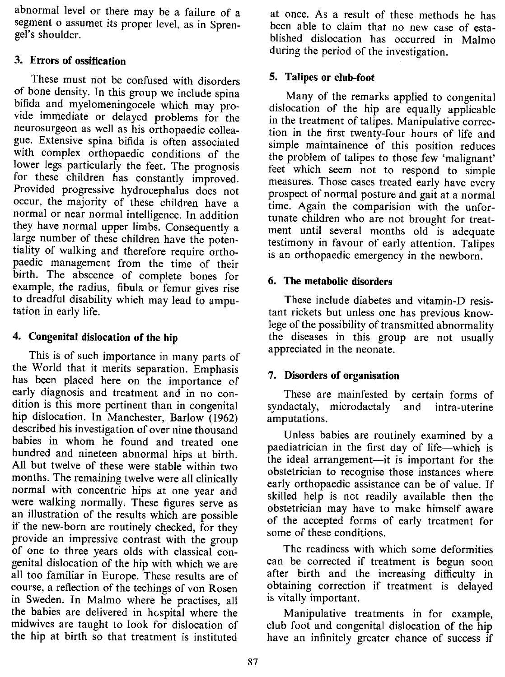abnormal level or there may be a failure of a segment o assumet its proper level, as in Sprengel's shoulder.

# 3. Errors of ossification

These must not be confused with disorders of bone density. In this group we include spina bifida and myelomeningocele which may provide immediate or delayed problems for the neurosurgeon as well as his orthopaedic colleague. Extensive spina bifida is often associated with complex orthopaedic conditions of the lower legs particularly the feet. The prognosis for these children has constantly improved. Provided progressive hydrocephalus does not occur, the majority of these children have a normal or near normal intelligence. In addition they have normal upper limbs. Consequently a large number of these children have the potentiality of walking and therefore require orthopaedic management from the time of their birth. The abscence of complete bones for example, the radius, fibula or femur gives rise to dreadful disability which may lead to amputation in early life.

# 4. Congenital dislocation of the hip

This is of such importance in many parts of the World that it merits separation. Emphasis has been placed here on the importance of early diagnosis and treatment and in no condition is this more pertinent than in congenital hip dislocation. In Manchester, Barlow (1962) described his investigation of over nine thousand babies in whom he found and treated one hundred and nineteen abnormal hips at birth. All but twelve of these were stable within two months. The remaining twelve were all clinically normal with concentric hips at one year and were walking normally. These figures serve as an illustration of the results which are possible if the new-born are routinely checked, for they provide an impressive contrast with the group of one to three years olds with classical congenital dislocation of the hip with which we are all too familiar in Europe. These results are of course, a reflection of the techings of von Rosen in Sweden. In Malmo where he practises, all the babies are delivered in hospital where the midwives are taught to look for dislocation of the hip at birth so that treatment is instituted

at once. As a result of these methods he has been able to claim that no new case of established dislocation has occurred in Malmo during the period of the investigation.

# 5. Talipes or club-foot

Many of the remarks applied to congenital dislocation of the hip are equally applicable in the treatment of talipes. Manipulative correction in the first twenty-four hours of life and simple maintainence of this position reduces the problem of talipes to those few 'malignant' feet which seem not to respond to simple measures. Those cases treated early have every prospect of normal posture and gait at a normal time. Again the comparision with the unfortunate children who are not brought for treatment until several months old is adequate testimony in favour of early attention. Talipes is an orthopaedic emergency in the newborn.

## 6. The metabolic disorders

These include diabetes and vitamin-D resistant rickets but unless one has previous knowlege of the possibility of transmitted abnormality the diseases in this group are not usually appreciated in the neonate.

## 7. Disorders of organisation

These are mainfested by certain forms of syndactaly, microdactaly and intra-uterine amputations.

Unless babies are routinely examined by a paediatrician in the first day of life-which is the ideal arrangement—it is important for the obstetrician to recognise those instances where early orthopaedic assistance can be of value. If skilled help is not readily available then the obstetrician may have to make himself aware of the accepted forms of early treatment for some of these conditions.

The readiness with which some deformities can be corrected if treatment is begun soon after birth and the increasing difficulty in obtaining correction if treatment is delayed is vitally important.

Manipulative treatments in for example, club foot and congenital dislocation of the hip have an infinitely greater chance of success if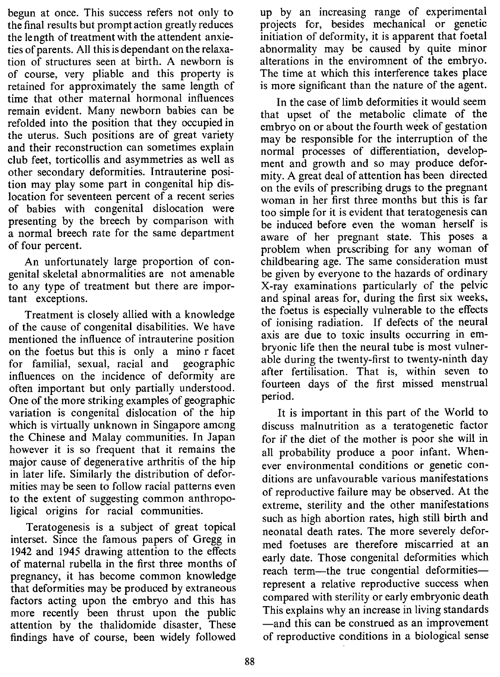begun at once. This success refers not only to the final results but prompt action greatly reduces the length of treatment with the attendent anxieties of parents. All this is dependant on the relaxation of structures seen at birth. A newborn is of course, very pliable and this property is retained for approximately the same length of time that other maternal hormonal influences remain evident. Many newborn babies can be refolded into the position that they occupied in the uterus. Such positions are of great variety and their reconstruction can sometimes explain club feet, torticollis and asymmetries as well as other secondary deformities. Intrauterine position may play some part in congenital hip dislocation for seventeen percent of a recent series of babies with congenital dislocation were presenting by the breech by comparison with a normal breech rate for the same department of four percent.

An unfortunately large proportion of congenital skeletal abnormalities are not amenable to any type of treatment but there are important exceptions.

Treatment is closely allied with a knowledge of the cause of congenital disabilities. We have mentioned the influence of intrauterine position on the foetus but this is only a mino r facet for familial, sexual, racial and geographic influences on the incidence of deformity are often important but only partially understood. One of the more striking examples of geographic variation is congenital dislocation of the hip which is virtually unknown in Singapore among the Chinese and Malay communities. In Japan however it is so frequent that it remains the major cause of degenerative arthritis of the hip in later life. Similarly the distribution of deformities may be seen to follow racial patterns even to the extent of suggesting common anthropoligical origins for racial communities.

Teratogenesis is a subject of great topical interset. Since the famous papers of Gregg in 1942 and 1945 drawing attention to the effects of maternal rubella in the first three months of pregnancy, it has become common knowledge that deformities may be produced by extraneous factors acting upon the embryo and this has more recently been thrust upon the public attention by the thalidomide disaster, These findings have of course, been widely followed

up by an increasing range of experimental projects for, besides mechanical or genetic initiation of deformity, it is apparent that foetal abnormality may be caused by quite minor alterations in the enviromnent of the embryo. The time at which this interference takes place is more significant than the nature of the agent.

In the case of limb deformities it would seem that upset of the metabolic climate of the embryo on or about the fourth week of gestation may be responsible for the interruption of the normal processes of differentiation, development and growth and so may produce deformity. A great deal of attention has been directed on the evils of prescribing drugs to the pregnant woman in her first three months but this is far too simple for it is evident that teratogenesis can be induced before even the woman herself is aware of her pregnant state. This poses a problem when prescribing for any woman of childbearing age. The same consideration must be given by everyone to the hazards of ordinary X-ray examinations particularly of the pelvic and spinal areas for, during the first six weeks, the foetus is especially vulnerable to the effects of ionising radiation. If defects of the neural axis are due to toxic insults occurring in embryonic life then the neural tube is most vulnerable during the twenty-first to twenty-ninth day after fertilisation. That is, within seven to fourteen days of the first missed menstrual period.

It is important in this part of the World to discuss malnutrition as a teratogenetic factor for if the diet of the mother is poor she will in all probability produce a poor infant. Whenever environmental conditions or genetic conditions are unfavourable various manifestations of reproductive failure may be observed. At the extreme, sterility and the other manifestations such as high abortion rates, high still birth and neonatal death rates. The more severely deformed foetuses are therefore miscarried at an early date. Those congenital deformities which reach term-the true congential deformitiesrepresent a relative reproductive success when compared with sterility or early embryonic death This explains why an increase in living standards -and this can be construed as an improvement of reproductive conditions in a biological sense